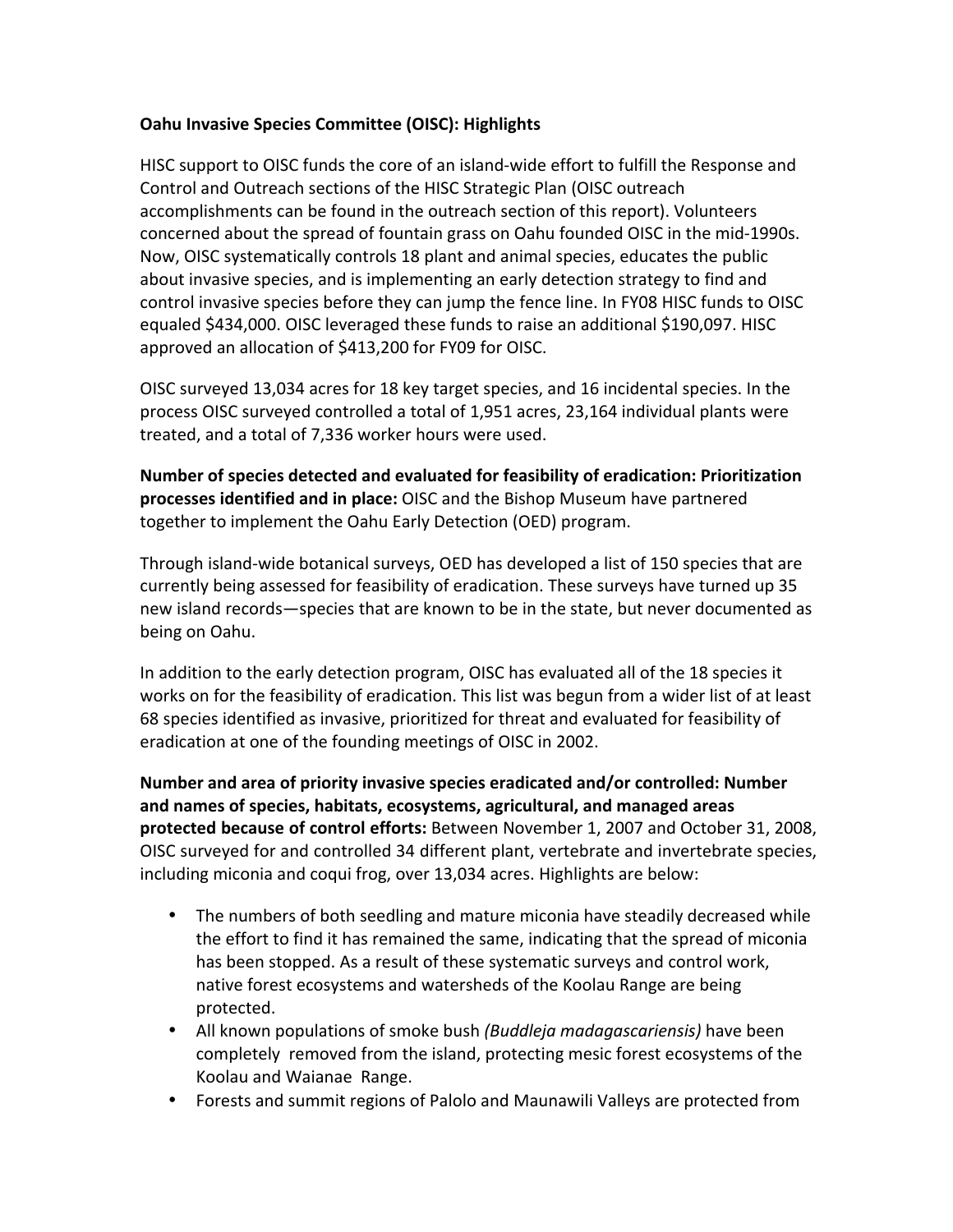## **Oahu Invasive Species Committee (OISC): Highlights**

HISC support to OISC funds the core of an island-wide effort to fulfill the Response and Control and Outreach sections of the HISC Strategic Plan (OISC outreach accomplishments can be found in the outreach section of this report). Volunteers concerned about the spread of fountain grass on Oahu founded OISC in the mid-1990s. Now, OISC systematically controls 18 plant and animal species, educates the public about invasive species, and is implementing an early detection strategy to find and control invasive species before they can jump the fence line. In FY08 HISC funds to OISC equaled \$434,000. OISC leveraged these funds to raise an additional \$190,097. HISC approved an allocation of \$413,200 for FY09 for OISC.

OISC surveyed 13,034 acres for 18 key target species, and 16 incidental species. In the process OISC surveyed controlled a total of 1,951 acres, 23,164 individual plants were treated, and a total of 7,336 worker hours were used.

Number of species detected and evaluated for feasibility of eradication: Prioritization **processes identified and in place:** OISC and the Bishop Museum have partnered together to implement the Oahu Early Detection (OED) program.

Through island-wide botanical surveys, OED has developed a list of 150 species that are currently being assessed for feasibility of eradication. These surveys have turned up 35 new island records-species that are known to be in the state, but never documented as being on Oahu.

In addition to the early detection program, OISC has evaluated all of the 18 species it works on for the feasibility of eradication. This list was begun from a wider list of at least 68 species identified as invasive, prioritized for threat and evaluated for feasibility of eradication at one of the founding meetings of OISC in 2002.

**Number and area of priority invasive species eradicated and/or controlled: Number** and names of species, habitats, ecosystems, agricultural, and managed areas **protected because of control efforts:** Between November 1, 2007 and October 31, 2008, OISC surveyed for and controlled 34 different plant, vertebrate and invertebrate species, including miconia and coqui frog, over 13,034 acres. Highlights are below:

- The numbers of both seedling and mature miconia have steadily decreased while the effort to find it has remained the same, indicating that the spread of miconia has been stopped. As a result of these systematic surveys and control work, native forest ecosystems and watersheds of the Koolau Range are being protected.
- All known populations of smoke bush *(Buddleja madagascariensis)* have been completely removed from the island, protecting mesic forest ecosystems of the Koolau and Waianae Range.
- Forests and summit regions of Palolo and Maunawili Valleys are protected from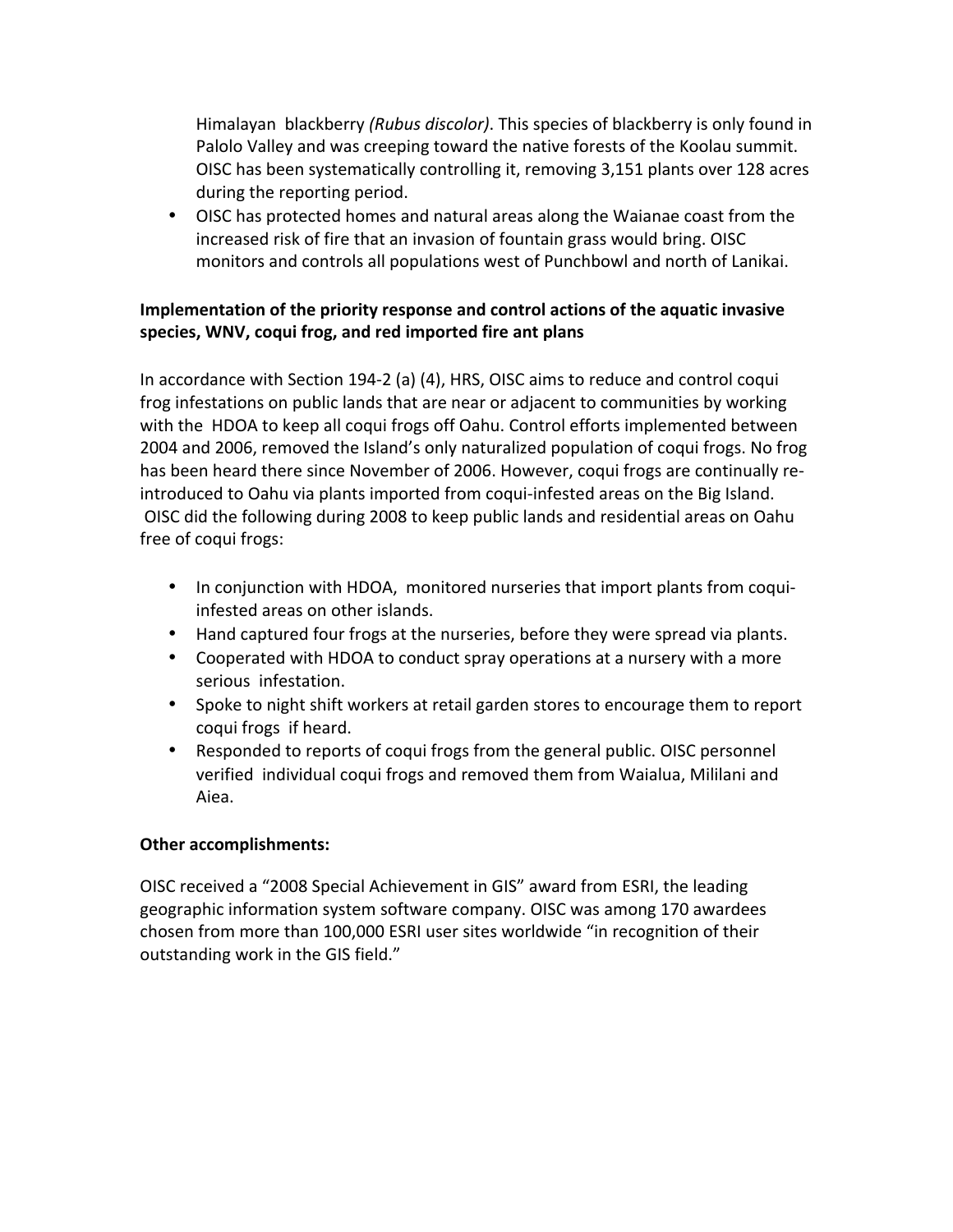Himalayan blackberry *(Rubus discolor)*. This species of blackberry is only found in Palolo Valley and was creeping toward the native forests of the Koolau summit. OISC has been systematically controlling it, removing 3,151 plants over 128 acres during the reporting period.

• OISC has protected homes and natural areas along the Waianae coast from the increased risk of fire that an invasion of fountain grass would bring. OISC monitors and controls all populations west of Punchbowl and north of Lanikai.

## **Implementation of the priority response and control actions of the aquatic invasive** species, WNV, coqui frog, and red imported fire ant plans

In accordance with Section 194-2 (a)  $(4)$ , HRS, OISC aims to reduce and control coqui frog infestations on public lands that are near or adjacent to communities by working with the HDOA to keep all coqui frogs off Oahu. Control efforts implemented between 2004 and 2006, removed the Island's only naturalized population of coqui frogs. No frog has been heard there since November of 2006. However, coqui frogs are continually reintroduced to Oahu via plants imported from coqui-infested areas on the Big Island. OISC did the following during 2008 to keep public lands and residential areas on Oahu free of coqui frogs:

- In conjunction with HDOA, monitored nurseries that import plants from coquiinfested areas on other islands.
- Hand captured four frogs at the nurseries, before they were spread via plants.
- Cooperated with HDOA to conduct spray operations at a nursery with a more serious infestation.
- Spoke to night shift workers at retail garden stores to encourage them to report coqui frogs if heard.
- Responded to reports of coqui frogs from the general public. OISC personnel verified individual coqui frogs and removed them from Waialua, Mililani and Aiea.

## **Other accomplishments:**

OISC received a "2008 Special Achievement in GIS" award from ESRI, the leading geographic information system software company. OISC was among 170 awardees chosen from more than 100,000 ESRI user sites worldwide "in recognition of their outstanding work in the GIS field."